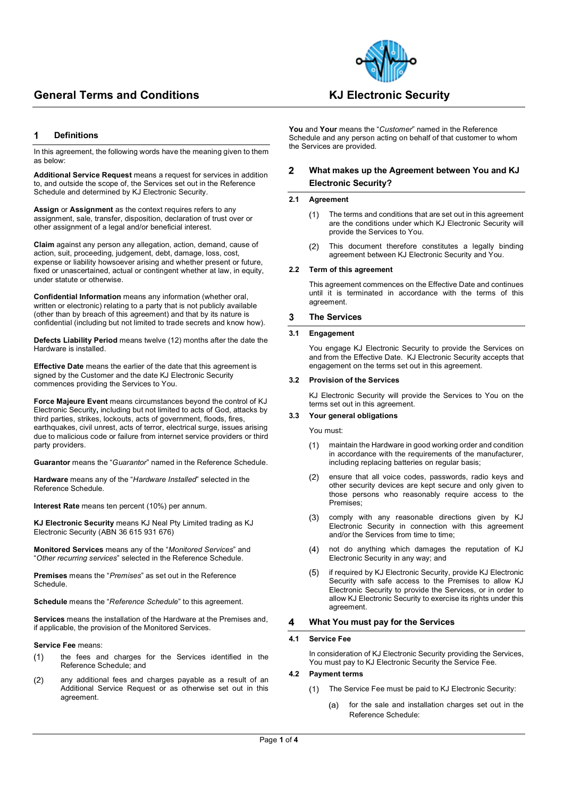

### **Definitions** 1

In this agreement, the following words have the meaning given to them as below:

**Additional Service Request** means a request for services in addition to, and outside the scope of, the Services set out in the Reference Schedule and determined by KJ Electronic Security.

**Assign** or **Assignment** as the context requires refers to any assignment, sale, transfer, disposition, declaration of trust over or other assignment of a legal and/or beneficial interest.

**Claim** against any person any allegation, action, demand, cause of action, suit, proceeding, judgement, debt, damage, loss, cost, expense or liability howsoever arising and whether present or future, fixed or unascertained, actual or contingent whether at law, in equity, under statute or otherwise.

**Confidential Information** means any information (whether oral, written or electronic) relating to a party that is not publicly available (other than by breach of this agreement) and that by its nature is confidential (including but not limited to trade secrets and know how).

**Defects Liability Period** means twelve (12) months after the date the Hardware is installed.

**Effective Date** means the earlier of the date that this agreement is signed by the Customer and the date KJ Electronic Security commences providing the Services to You.

**Force Majeure Event** means circumstances beyond the control of KJ Electronic Security**,** including but not limited to acts of God, attacks by third parties, strikes, lockouts, acts of government, floods, fires, earthquakes, civil unrest, acts of terror, electrical surge, issues arising due to malicious code or failure from internet service providers or third party providers.

**Guarantor** means the "*Guarantor*" named in the Reference Schedule.

**Hardware** means any of the "*Hardware Installed*" selected in the Reference Schedule.

**Interest Rate** means ten percent (10%) per annum.

**KJ Electronic Security** means KJ Neal Pty Limited trading as KJ Electronic Security (ABN 36 615 931 676)

**Monitored Services** means any of the "*Monitored Services*" and "*Other recurring services*" selected in the Reference Schedule.

**Premises** means the "*Premises*" as set out in the Reference **Schedule** 

**Schedule** means the "*Reference Schedule*" to this agreement.

**Services** means the installation of the Hardware at the Premises and, if applicable, the provision of the Monitored Services.

### **Service Fee** means:

- the fees and charges for the Services identified in the  $(1)$ Reference Schedule; and
- any additional fees and charges payable as a result of an  $(2)$ Additional Service Request or as otherwise set out in this agreement.

# **You** and **Your** means the "*Customer*" named in the Reference Schedule and any person acting on behalf of that customer to whom

### **What makes up the Agreement between You and KJ**   $\overline{2}$ **Electronic Security?**

### **2.1 Agreement**

the Services are provided.

- $(1)$ The terms and conditions that are set out in this agreement are the conditions under which KJ Electronic Security will provide the Services to You.
- $(2)$ This document therefore constitutes a legally binding agreement between KJ Electronic Security and You.

### **2.2 Term of this agreement**

This agreement commences on the Effective Date and continues until it is terminated in accordance with the terms of this agreement.

### 3 **The Services**

## **3.1 Engagement**

You engage KJ Electronic Security to provide the Services on and from the Effective Date. KJ Electronic Security accepts that engagement on the terms set out in this agreement.

## **3.2 Provision of the Services**

KJ Electronic Security will provide the Services to You on the terms set out in this agreement.

### **3.3 Your general obligations**

You must:

- maintain the Hardware in good working order and condition  $(1)$ in accordance with the requirements of the manufacturer, including replacing batteries on regular basis;
- ensure that all voice codes, passwords, radio keys and  $(2)$ other security devices are kept secure and only given to those persons who reasonably require access to the Premises;
- $(3)$ comply with any reasonable directions given by KJ Electronic Security in connection with this agreement and/or the Services from time to time;
- $(4)$ not do anything which damages the reputation of KJ Electronic Security in any way; and
- if required by KJ Electronic Security, provide KJ Electronic  $(5)$ Security with safe access to the Premises to allow KJ Electronic Security to provide the Services, or in order to allow KJ Electronic Security to exercise its rights under this agreement.

#### 4 **What You must pay for the Services**

### **4.1 Service Fee**

In consideration of KJ Electronic Security providing the Services, You must pay to KJ Electronic Security the Service Fee.

### **4.2 Payment terms**

- The Service Fee must be paid to KJ Electronic Security:  $(1)$ 
	- for the sale and installation charges set out in the  $(a)$ Reference Schedule: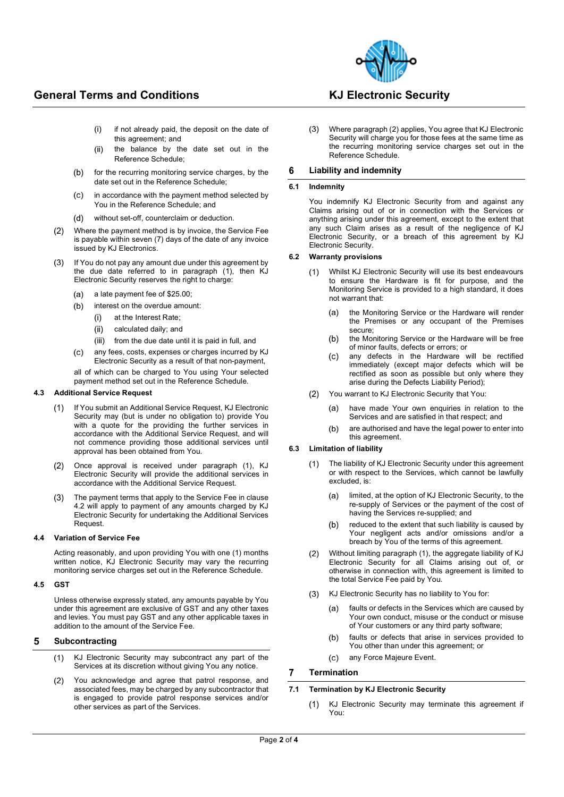

- $(i)$ if not already paid, the deposit on the date of this agreement; and
- $(ii)$ the balance by the date set out in the Reference Schedule;
- $(b)$ for the recurring monitoring service charges, by the date set out in the Reference Schedule;
- in accordance with the payment method selected by  $(c)$ You in the Reference Schedule; and
- $(d)$ without set-off, counterclaim or deduction.
- $(2)$ Where the payment method is by invoice, the Service Fee is payable within seven (7) days of the date of any invoice issued by KJ Electronics.
- $(3)$ If You do not pay any amount due under this agreement by the due date referred to in paragraph (1), then KJ Electronic Security reserves the right to charge:
	- $(a)$ a late payment fee of \$25.00;
	- interest on the overdue amount:  $(b)$ 
		- $(i)$ at the Interest Rate;
		- $(iii)$ calculated daily; and
		- $(iii)$ from the due date until it is paid in full, and
	- any fees, costs, expenses or charges incurred by KJ  $(c)$ Electronic Security as a result of that non-payment,

all of which can be charged to You using Your selected payment method set out in the Reference Schedule.

### **4.3 Additional Service Request**

- If You submit an Additional Service Request, KJ Electronic  $(1)$ Security may (but is under no obligation to) provide You with a quote for the providing the further services in accordance with the Additional Service Request, and will not commence providing those additional services until approval has been obtained from You.
- Once approval is received under paragraph (1), KJ  $(2)$ Electronic Security will provide the additional services in accordance with the Additional Service Request.
- $(3)$ The payment terms that apply to the Service Fee in clause 4.2 will apply to payment of any amounts charged by KJ Electronic Security for undertaking the Additional Services Request.

### **4.4 Variation of Service Fee**

Acting reasonably, and upon providing You with one (1) months written notice, KJ Electronic Security may vary the recurring monitoring service charges set out in the Reference Schedule.

### **4.5 GST**

Unless otherwise expressly stated, any amounts payable by You under this agreement are exclusive of GST and any other taxes and levies. You must pay GST and any other applicable taxes in addition to the amount of the Service Fee.

#### 5 **Subcontracting**

- $(1)$ KJ Electronic Security may subcontract any part of the Services at its discretion without giving You any notice.
- $(2)$ You acknowledge and agree that patrol response, and associated fees, may be charged by any subcontractor that is engaged to provide patrol response services and/or other services as part of the Services.

 $(3)$ Where paragraph (2) applies, You agree that KJ Electronic Security will charge you for those fees at the same time as the recurring monitoring service charges set out in the Reference Schedule.

#### $6\phantom{1}6$ **Liability and indemnity**

### **6.1 Indemnity**

You indemnify KJ Electronic Security from and against any Claims arising out of or in connection with the Services or anything arising under this agreement, except to the extent that any such Claim arises as a result of the negligence of KJ Electronic Security, or a breach of this agreement by KJ Electronic Security.

### **6.2 Warranty provisions**

- Whilst KJ Electronic Security will use its best endeavours  $(1)$ to ensure the Hardware is fit for purpose, and the Monitoring Service is provided to a high standard, it does not warrant that:
	- $(a)$ the Monitoring Service or the Hardware will render the Premises or any occupant of the Premises secure;
	- $(b)$ the Monitoring Service or the Hardware will be free of minor faults, defects or errors; or
	- any defects in the Hardware will be rectified  $(c)$ immediately (except major defects which will be rectified as soon as possible but only where they arise during the Defects Liability Period);
- You warrant to KJ Electronic Security that You:  $(2)$ 
	- have made Your own enquiries in relation to the  $(a)$ Services and are satisfied in that respect; and
	- are authorised and have the legal power to enter into  $(h)$ this agreement.

### **6.3 Limitation of liability**

- The liability of KJ Electronic Security under this agreement  $(1)$ or with respect to the Services, which cannot be lawfully excluded, is:
	- limited, at the option of KJ Electronic Security, to the  $(a)$ re-supply of Services or the payment of the cost of having the Services re-supplied; and
	- reduced to the extent that such liability is caused by  $(b)$ Your negligent acts and/or omissions and/or a breach by You of the terms of this agreement.
- $(2)$ Without limiting paragraph (1), the aggregate liability of KJ Electronic Security for all Claims arising out of, or otherwise in connection with, this agreement is limited to the total Service Fee paid by You.
- (3) KJ Electronic Security has no liability to You for:
	- faults or defects in the Services which are caused by  $(a)$ Your own conduct, misuse or the conduct or misuse of Your customers or any third party software;
	- faults or defects that arise in services provided to  $(b)$ You other than under this agreement; or
	- $(c)$ any Force Majeure Event.

#### $\overline{7}$ **Termination**

### **7.1 Termination by KJ Electronic Security**

KJ Electronic Security may terminate this agreement if  $(1)$ You: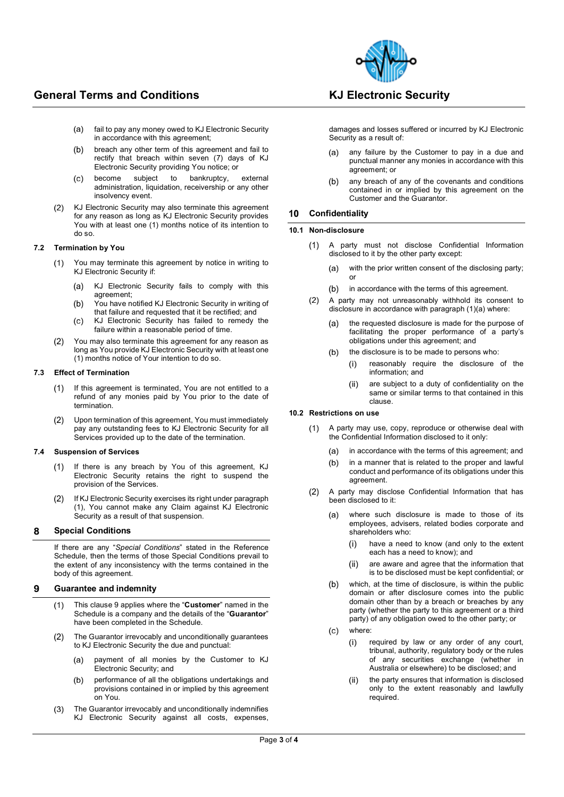

- $(a)$ fail to pay any money owed to KJ Electronic Security in accordance with this agreement;
- $(b)$ breach any other term of this agreement and fail to rectify that breach within seven (7) days of KJ Electronic Security providing You notice; or
- become subject to bankruptcy, external  $(c)$ administration, liquidation, receivership or any other insolvency event.
- $(2)$ KJ Electronic Security may also terminate this agreement for any reason as long as KJ Electronic Security provides You with at least one (1) months notice of its intention to do so.

### **7.2 Termination by You**

- You may terminate this agreement by notice in writing to  $(1)$ KJ Electronic Security if:
	- $(a)$ KJ Electronic Security fails to comply with this agreement;
	- $(b)$ You have notified KJ Electronic Security in writing of that failure and requested that it be rectified; and
	- $(c)$ KJ Electronic Security has failed to remedy the failure within a reasonable period of time.
- You may also terminate this agreement for any reason as  $(2)$ long as You provide KJ Electronic Security with at least one (1) months notice of Your intention to do so.

### **7.3 Effect of Termination**

- If this agreement is terminated, You are not entitled to a  $(1)$ refund of any monies paid by You prior to the date of termination.
- Upon termination of this agreement, You must immediately  $(2)$ pay any outstanding fees to KJ Electronic Security for all Services provided up to the date of the termination.

### **7.4 Suspension of Services**

- If there is any breach by You of this agreement, KJ  $(1)$ Electronic Security retains the right to suspend the provision of the Services.
- If KJ Electronic Security exercises its right under paragraph  $(2)$ (1), You cannot make any Claim against KJ Electronic Security as a result of that suspension.

### 8 **Special Conditions**

If there are any "*Special Conditions*" stated in the Reference Schedule, then the terms of those Special Conditions prevail to the extent of any inconsistency with the terms contained in the body of this agreement.

### **Guarantee and indemnity**  $\mathbf{Q}$

- This clause 9 applies where the "**Customer**" named in the  $(1)$ Schedule is a company and the details of the "**Guarantor**" have been completed in the Schedule.
- $(2)$ The Guarantor irrevocably and unconditionally guarantees to KJ Electronic Security the due and punctual:
	- payment of all monies by the Customer to KJ  $(a)$ Electronic Security; and
	- performance of all the obligations undertakings and  $(b)$ provisions contained in or implied by this agreement on You.
- The Guarantor irrevocably and unconditionally indemnifies  $(3)$ KJ Electronic Security against all costs, expenses,

damages and losses suffered or incurred by KJ Electronic Security as a result of:

- any failure by the Customer to pay in a due and  $(a)$ punctual manner any monies in accordance with this agreement; or
- any breach of any of the covenants and conditions  $(b)$ contained in or implied by this agreement on the Customer and the Guarantor.

### $10$ **Confidentiality**

### **10.1 Non-disclosure**

- A party must not disclose Confidential Information  $(1)$ disclosed to it by the other party except:
	- with the prior written consent of the disclosing party;  $(a)$ or
	- in accordance with the terms of this agreement.  $(b)$
- A party may not unreasonably withhold its consent to  $(2)$ disclosure in accordance with paragraph (1)(a) where:
	- the requested disclosure is made for the purpose of  $(a)$ facilitating the proper performance of a party's obligations under this agreement; and
	- the disclosure is to be made to persons who:  $(b)$ 
		- $(i)$ reasonably require the disclosure of the information; and
		- are subject to a duty of confidentiality on the  $(ii)$ same or similar terms to that contained in this clause.

## **10.2 Restrictions on use**

- A party may use, copy, reproduce or otherwise deal with  $(1)$ the Confidential Information disclosed to it only:
	- in accordance with the terms of this agreement; and  $(a)$
	- $(b)$ in a manner that is related to the proper and lawful conduct and performance of its obligations under this agreement.
- A party may disclose Confidential Information that has  $(2)$ been disclosed to it:
	- where such disclosure is made to those of its  $(a)$ employees, advisers, related bodies corporate and shareholders who:
		- $(i)$ have a need to know (and only to the extent each has a need to know); and
		- are aware and agree that the information that  $(ii)$ is to be disclosed must be kept confidential; or
	- which, at the time of disclosure, is within the public  $(b)$ domain or after disclosure comes into the public domain other than by a breach or breaches by any party (whether the party to this agreement or a third party) of any obligation owed to the other party; or
	- where:  $(c)$ 
		- required by law or any order of any court,  $(i)$ tribunal, authority, regulatory body or the rules of any securities exchange (whether in Australia or elsewhere) to be disclosed; and
		- the party ensures that information is disclosed  $(ii)$ only to the extent reasonably and lawfully required.